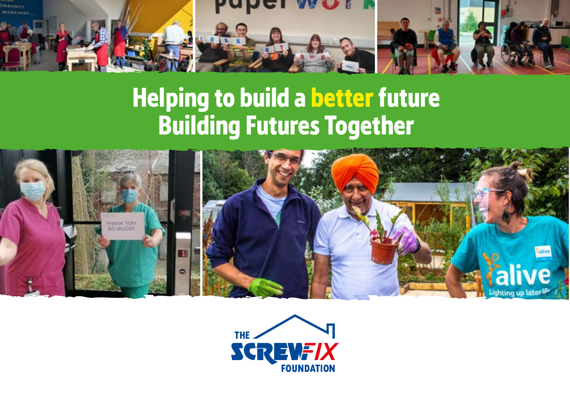

# **Helping to build a better future Building Futures Together**



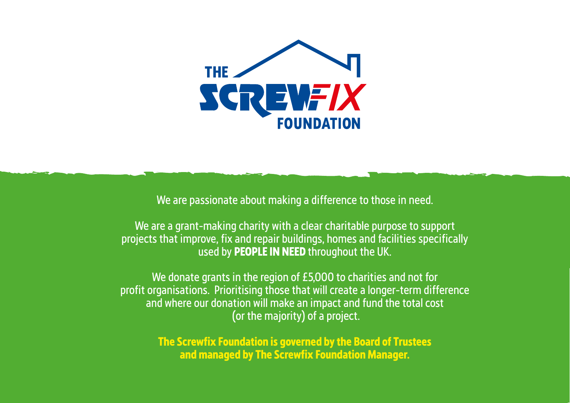

We are passionate about making a difference to those in need.

We are a grant-making charity with a clear charitable purpose to support projects that improve, fix and repair buildings, homes and facilities specifically used by **PEOPLE IN NEED** throughout the UK.

We donate grants in the region of £5,000 to charities and not for profit organisations. Prioritising those that will create a longer-term difference and where our donation will make an impact and fund the total cost (or the majority) of a project.

> **The Screwfix Foundation is governed by the Board of Trustees and managed by The Screwfix Foundation Manager.**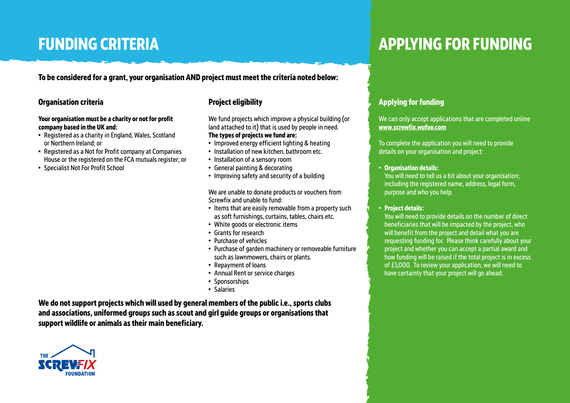# **FUNDING CRITERIA**

**To be considered for a grant, your organisation AND project must meet the criteria noted below:**

### **Organisation criteria**

#### **Your organisation must be a charity or not for profit company based in the UK and:**

- Registered as a charity in England, Wales, Scotland or Northern Ireland; or
- Registered as a Not for Profit company at Companies House or the registered on the FCA mutuals register; or
- Specialist Not For Profit School

### **Project eligibility**

We fund projects which improve a physical building (or land attached to it) that is used by people in need. **The types of projects we fund are:**

- Improved energy efficient lighting & heating
- Installation of new kitchen, bathroom etc.
- Installation of a sensory room
- General painting & decorating
- Improving safety and security of a building

We are unable to donate products or vouchers from Screwfix and unable to fund:

- Items that are easily removable from a property such as soft furnishings, curtains, tables, chairs etc.
- White goods or electronic items
- Grants for research
- Purchase of vehicles
- Purchase of garden machinery or removeable furniture such as lawnmowers, chairs or plants.
- Repayment of loans
- Annual Rent or service charges
- Sponsorships
- Salaries

**We do not support projects which will used by general members of the public i.e., sports clubs and associations, uniformed groups such as scout and girl guide groups or organisations that support wildlife or animals as their main beneficiary.** 



# **APPLYING FOR FUNDING**

## **Applying for funding**

We can only accept applications that are completed online **www.screwfix.wufoo.com**

To complete the application you will need to provide details on your organisation and project:

### • **Organisation details:**

You will need to tell us a bit about your organisation; including the registered name, address, legal form, purpose and who you help.

• **Project details:** 

You will need to provide details on the number of direct beneficiaries that will be impacted by the project, who will benefit from the project and detail what you are requesting funding for. Please think carefully about your project and whether you can accept a partial award and how funding will be raised if the total project is in excess of £5,000. To review your application, we will need to have certainty that your project will go ahead.